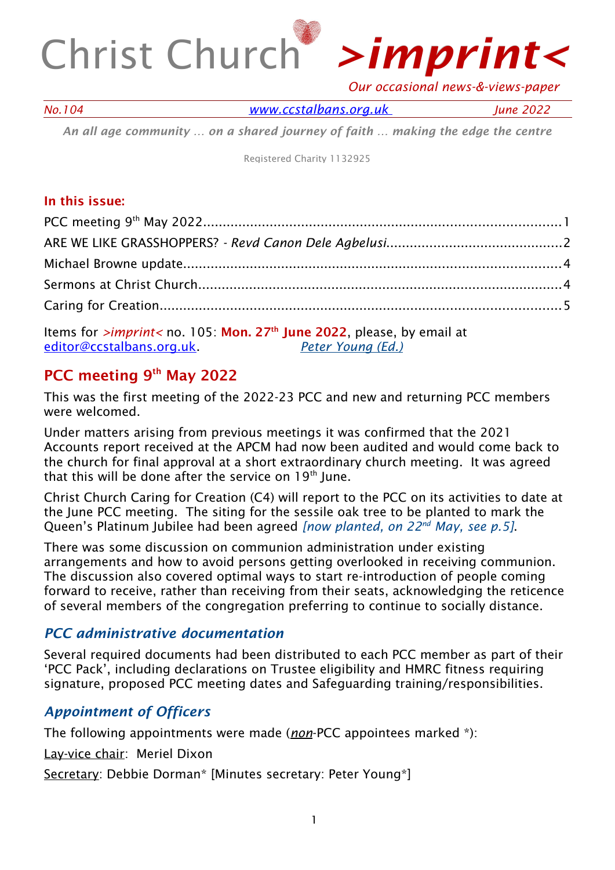

 *Our occasional news-&-views-paper*

*No.104 [www.ccstalbans.org. uk](http://www.ccstalbans.org.uk/) June 2022*

*An all age community … on a shared journey of faith … making the edge the centre*

Registered Charity 1132925

### In this issue:

Items for *>imprint<* no. 105: Mon. 27th June 2022, please, by email at [editor@ccstalbans.org.uk](mailto:editor@ccstalbans.org.uk). *Peter Young (Ed.)*

# PCC meeting 9<sup>th</sup> May 2022

This was the first meeting of the 2022-23 PCC and new and returning PCC members were welcomed.

Under matters arising from previous meetings it was confirmed that the 2021 Accounts report received at the APCM had now been audited and would come back to the church for final approval at a short extraordinary church meeting. It was agreed that this will be done after the service on  $19<sup>th</sup>$  June.

Christ Church Caring for Creation (C4) will report to the PCC on its activities to date at the June PCC meeting. The siting for the sessile oak tree to be planted to mark the Queen's Platinum Jubilee had been agreed *[now planted, on 22nd May, see p.5]*.

There was some discussion on communion administration under existing arrangements and how to avoid persons getting overlooked in receiving communion. The discussion also covered optimal ways to start re-introduction of people coming forward to receive, rather than receiving from their seats, acknowledging the reticence of several members of the congregation preferring to continue to socially distance.

### *PCC administrative documentation*

Several required documents had been distributed to each PCC member as part of their 'PCC Pack', including declarations on Trustee eligibility and HMRC fitness requiring signature, proposed PCC meeting dates and Safeguarding training/responsibilities.

# *Appointment of Officers*

The following appointments were made (*non*-PCC appointees marked \*):

Lay-vice chair: Meriel Dixon

Secretary: Debbie Dorman\* [Minutes secretary: Peter Young\*]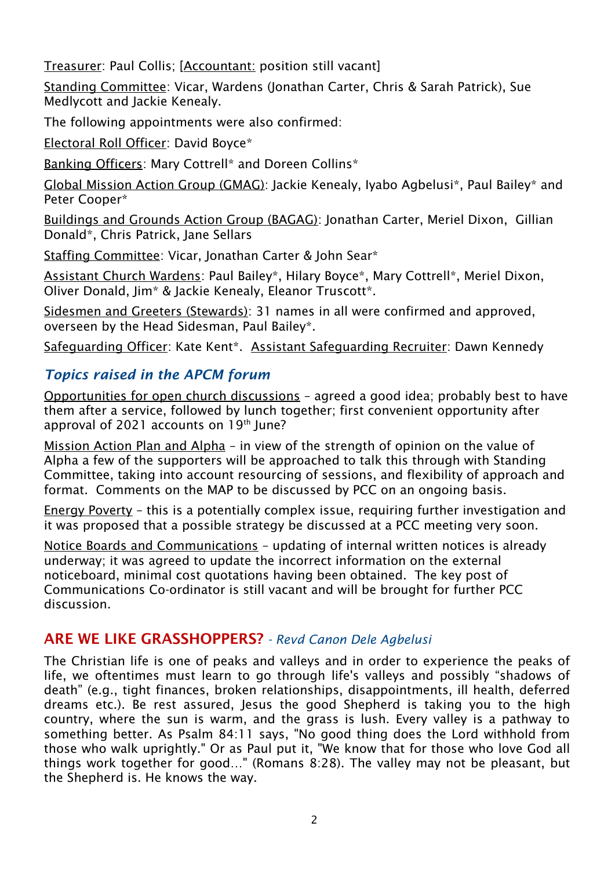Treasurer: Paul Collis; [Accountant: position still vacant]

Standing Committee: Vicar, Wardens (Jonathan Carter, Chris & Sarah Patrick), Sue Medlycott and Jackie Kenealy.

The following appointments were also confirmed:

Electoral Roll Officer: David Boyce\*

Banking Officers: Mary Cottrell\* and Doreen Collins\*

Global Mission Action Group (GMAG): Jackie Kenealy, Iyabo Agbelusi\*, Paul Bailey\* and Peter Cooper\*

Buildings and Grounds Action Group (BAGAG): Jonathan Carter, Meriel Dixon, Gillian Donald\*, Chris Patrick, Jane Sellars

Staffing Committee: Vicar, Jonathan Carter & John Sear\*

Assistant Church Wardens: Paul Bailey\*, Hilary Boyce\*, Mary Cottrell\*, Meriel Dixon, Oliver Donald, Jim\* & Jackie Kenealy, Eleanor Truscott\*.

Sidesmen and Greeters (Stewards): 31 names in all were confirmed and approved, overseen by the Head Sidesman, Paul Bailey\*.

Safeguarding Officer: Kate Kent\*. Assistant Safeguarding Recruiter: Dawn Kennedy

# *Topics raised in the APCM forum*

Opportunities for open church discussions – agreed a good idea; probably best to have them after a service, followed by lunch together; first convenient opportunity after approval of 2021 accounts on  $19<sup>th</sup>$  June?

Mission Action Plan and Alpha – in view of the strength of opinion on the value of Alpha a few of the supporters will be approached to talk this through with Standing Committee, taking into account resourcing of sessions, and flexibility of approach and format. Comments on the MAP to be discussed by PCC on an ongoing basis.

Energy Poverty – this is a potentially complex issue, requiring further investigation and it was proposed that a possible strategy be discussed at a PCC meeting very soon.

Notice Boards and Communications – updating of internal written notices is already underway; it was agreed to update the incorrect information on the external noticeboard, minimal cost quotations having been obtained. The key post of Communications Co-ordinator is still vacant and will be brought for further PCC discussion.

# ARE WE LIKE GRASSHOPPERS? *- Revd Canon Dele Agbelusi*

The Christian life is one of peaks and valleys and in order to experience the peaks of life, we oftentimes must learn to go through life's valleys and possibly "shadows of death" (e.g., tight finances, broken relationships, disappointments, ill health, deferred dreams etc.). Be rest assured, Jesus the good Shepherd is taking you to the high country, where the sun is warm, and the grass is lush. Every valley is a pathway to something better. As Psalm 84:11 says, "No good thing does the Lord withhold from those who walk uprightly." Or as Paul put it, "We know that for those who love God all things work together for good…" (Romans 8:28). The valley may not be pleasant, but the Shepherd is. He knows the way.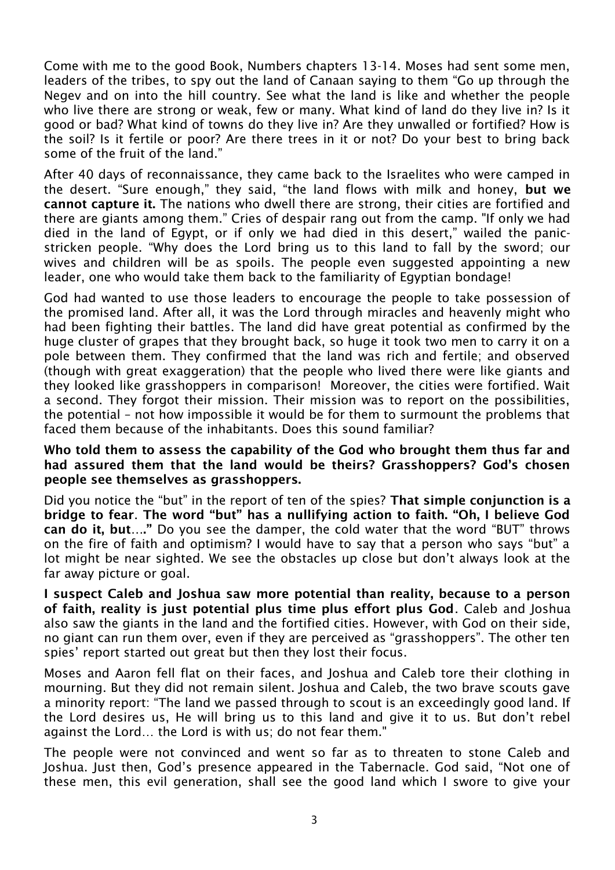Come with me to the good Book, Numbers chapters 13-14. Moses had sent some men, leaders of the tribes, to spy out the land of Canaan saying to them "Go up through the Negev and on into the hill country. See what the land is like and whether the people who live there are strong or weak, few or many. What kind of land do they live in? Is it good or bad? What kind of towns do they live in? Are they unwalled or fortified? How is the soil? Is it fertile or poor? Are there trees in it or not? Do your best to bring back some of the fruit of the land."

After 40 days of reconnaissance, they came back to the Israelites who were camped in the desert. "Sure enough," they said, "the land flows with milk and honey, but we cannot capture it. The nations who dwell there are strong, their cities are fortified and there are giants among them." Cries of despair rang out from the camp. "If only we had died in the land of Egypt, or if only we had died in this desert," wailed the panicstricken people. "Why does the Lord bring us to this land to fall by the sword; our wives and children will be as spoils. The people even suggested appointing a new leader, one who would take them back to the familiarity of Egyptian bondage!

God had wanted to use those leaders to encourage the people to take possession of the promised land. After all, it was the Lord through miracles and heavenly might who had been fighting their battles. The land did have great potential as confirmed by the huge cluster of grapes that they brought back, so huge it took two men to carry it on a pole between them. They confirmed that the land was rich and fertile; and observed (though with great exaggeration) that the people who lived there were like giants and they looked like grasshoppers in comparison! Moreover, the cities were fortified. Wait a second. They forgot their mission. Their mission was to report on the possibilities, the potential – not how impossible it would be for them to surmount the problems that faced them because of the inhabitants. Does this sound familiar?

#### Who told them to assess the capability of the God who brought them thus far and had assured them that the land would be theirs? Grasshoppers? God's chosen people see themselves as grasshoppers.

Did you notice the "but" in the report of ten of the spies? That simple conjunction is a bridge to fear. The word "but" has a nullifying action to faith. "Oh, I believe God can do it, but…." Do you see the damper, the cold water that the word "BUT" throws on the fire of faith and optimism? I would have to say that a person who says "but" a lot might be near sighted. We see the obstacles up close but don't always look at the far away picture or goal.

I suspect Caleb and Joshua saw more potential than reality, because to a person of faith, reality is just potential plus time plus effort plus God. Caleb and Joshua also saw the giants in the land and the fortified cities. However, with God on their side, no giant can run them over, even if they are perceived as "grasshoppers". The other ten spies' report started out great but then they lost their focus.

Moses and Aaron fell flat on their faces, and Joshua and Caleb tore their clothing in mourning. But they did not remain silent. Joshua and Caleb, the two brave scouts gave a minority report: "The land we passed through to scout is an exceedingly good land. If the Lord desires us, He will bring us to this land and give it to us. But don't rebel against the Lord… the Lord is with us; do not fear them."

The people were not convinced and went so far as to threaten to stone Caleb and Joshua. Just then, God's presence appeared in the Tabernacle. God said, "Not one of these men, this evil generation, shall see the good land which I swore to give your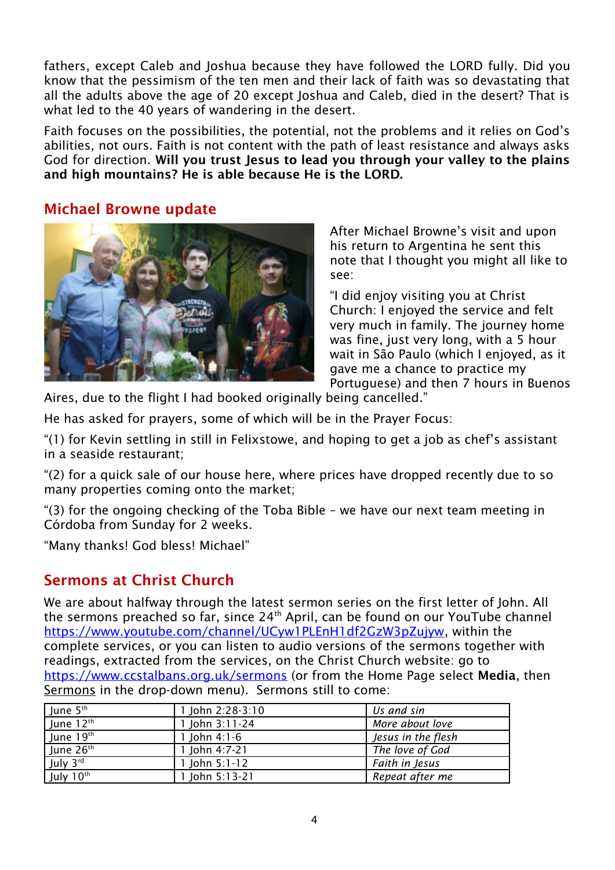fathers, except Caleb and Joshua because they have followed the LORD fully. Did you know that the pessimism of the ten men and their lack of faith was so devastating that all the adults above the age of 20 except Joshua and Caleb, died in the desert? That is what led to the 40 years of wandering in the desert.

Faith focuses on the possibilities, the potential, not the problems and it relies on God's abilities, not ours. Faith is not content with the path of least resistance and always asks God for direction. Will you trust Jesus to lead you through your valley to the plains and high mountains? He is able because He is the LORD.

### Michael Browne update



After Michael Browne's visit and upon his return to Argentina he sent this note that I thought you might all like to see:

"I did enjoy visiting you at Christ Church: I enjoyed the service and felt very much in family. The journey home was fine, just very long, with a 5 hour wait in São Paulo (which I enjoyed, as it gave me a chance to practice my Portuguese) and then 7 hours in Buenos

Aires, due to the flight I had booked originally being cancelled."

He has asked for prayers, some of which will be in the Prayer Focus:

"(1) for Kevin settling in still in Felixstowe, and hoping to get a job as chef's assistant in a seaside restaurant;

"(2) for a quick sale of our house here, where prices have dropped recently due to so many properties coming onto the market;

"(3) for the ongoing checking of the Toba Bible – we have our next team meeting in Córdoba from Sunday for 2 weeks.

"Many thanks! God bless! Michael"

# Sermons at Christ Church

We are about halfway through the latest sermon series on the first letter of John. All the sermons preached so far, since 24<sup>th</sup> April, can be found on our YouTube channel <https://www.youtube.com/channel/UCyw1PLEnH1df2GzW3pZujyw>, within the complete services, or you can listen to audio versions of the sermons together with readings, extracted from the services, on the Christ Church website: go to <https://www.ccstalbans.org.uk/sermons> (or from the Home Page select Media, then Sermons in the drop-down menu). Sermons still to come:

| June 5 <sup>th</sup>  | 1 John 2:28-3:10 | Us and sin         |
|-----------------------|------------------|--------------------|
| June 12 <sup>th</sup> | 1 John 3:11-24   | More about love    |
| June 19th             | 1 John $4:1-6$   | Jesus in the flesh |
| June 26th             | 1 John $4:7-21$  | The love of God    |
| July 3rd              | 1 John $5:1-12$  | Faith in Jesus     |
| July 10th             | 1 John $5:13-21$ | Repeat after me    |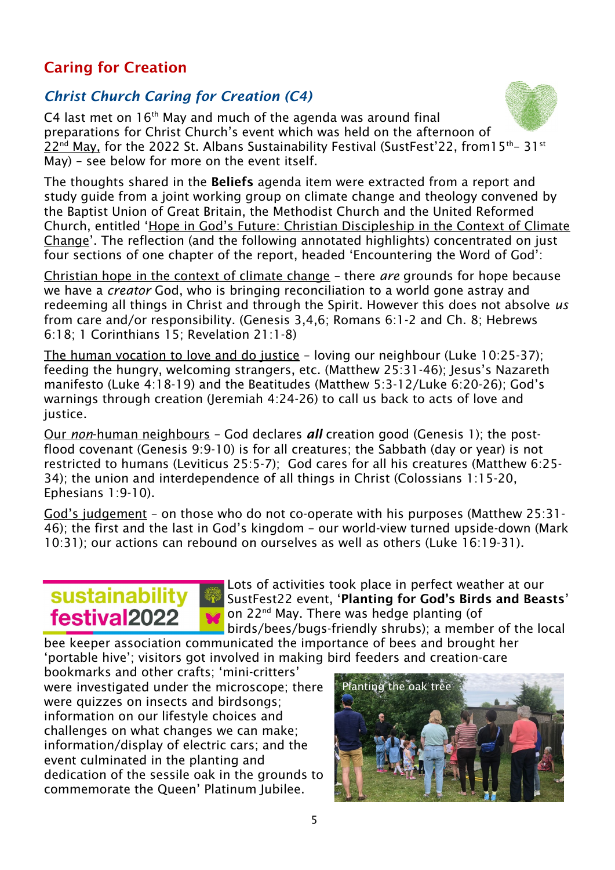# Caring for Creation

# *Christ Church Caring for Creation (C4)*

C4 last met on  $16<sup>th</sup>$  May and much of the agenda was around final preparations for Christ Church's event which was held on the afternoon of 22<sup>nd</sup> May, for the 2022 St. Albans Sustainability Festival (SustFest'22, from15<sup>th</sup>- 31st May) – see below for more on the event itself.

The thoughts shared in the Beliefs agenda item were extracted from a report and study guide from a joint working group on climate change and theology convened by the Baptist Union of Great Britain, the Methodist Church and the United Reformed Church, entitled 'Hope in God's Future: Christian Discipleship in the Context of Climate Change'. The reflection (and the following annotated highlights) concentrated on just four sections of one chapter of the report, headed 'Encountering the Word of God':

Christian hope in the context of climate change – there *are* grounds for hope because we have a *creator* God, who is bringing reconciliation to a world gone astray and redeeming all things in Christ and through the Spirit. However this does not absolve *us* from care and/or responsibility. (Genesis 3,4,6; Romans 6:1-2 and Ch. 8; Hebrews 6:18; 1 Corinthians 15; Revelation 21:1-8)

The human vocation to love and do justice – loving our neighbour (Luke 10:25-37); feeding the hungry, welcoming strangers, etc. (Matthew 25:31-46); Jesus's Nazareth manifesto (Luke 4:18-19) and the Beatitudes (Matthew 5:3-12/Luke 6:20-26); God's warnings through creation (Jeremiah 4:24-26) to call us back to acts of love and justice.

 Our *non* -human neighbours – God declares *all* creation good (Genesis 1); the postflood covenant (Genesis 9:9-10) is for all creatures; the Sabbath (day or year) is not restricted to humans (Leviticus 25:5-7); God cares for all his creatures (Matthew 6:25- 34); the union and interdependence of all things in Christ (Colossians 1:15-20, Ephesians 1:9-10).

God's judgement – on those who do not co-operate with his purposes (Matthew 25:31- 46); the first and the last in God's kingdom – our world-view turned upside-down (Mark 10:31); our actions can rebound on ourselves as well as others (Luke 16:19-31).

# sustainability festival2022

Lots of activities took place in perfect weather at our SustFest22 event, 'Planting for God's Birds and Beasts' on 22<sup>nd</sup> May. There was hedge planting (of Ŵ. birds/bees/bugs-friendly shrubs); a member of the local

bee keeper association communicated the importance of bees and brought her 'portable hive'; visitors got involved in making bird feeders and creation-care

bookmarks and other crafts; 'mini-critters' were investigated under the microscope; there were quizzes on insects and birdsongs; information on our lifestyle choices and challenges on what changes we can make; information/display of electric cars; and the event culminated in the planting and dedication of the sessile oak in the grounds to commemorate the Queen' Platinum Jubilee.



5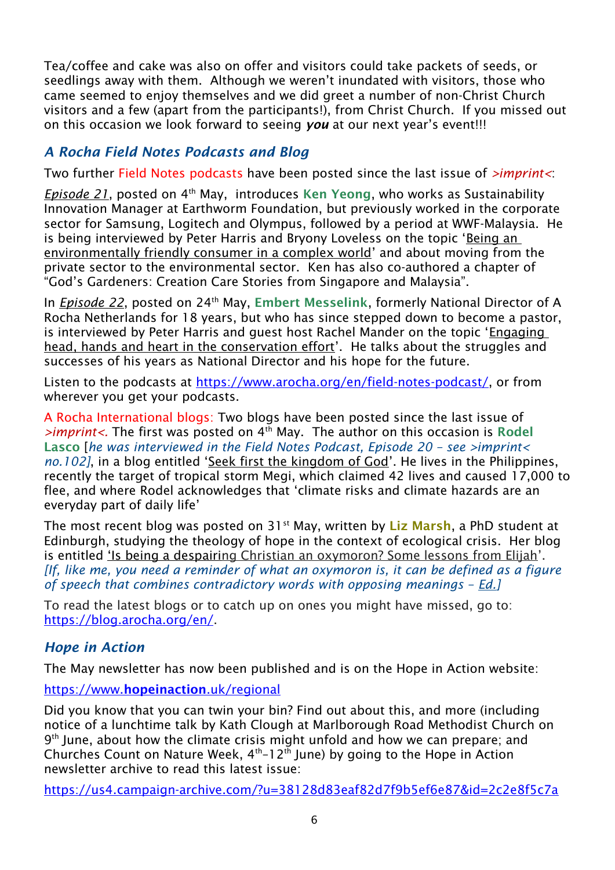Tea/coffee and cake was also on offer and visitors could take packets of seeds, or seedlings away with them. Although we weren't inundated with visitors, those who came seemed to enjoy themselves and we did greet a number of non-Christ Church visitors and a few (apart from the participants!), from Christ Church. If you missed out on this occasion we look forward to seeing *you* at our next year's event!!!

## *A Rocha Field Notes Podcasts and Blog*

Two further Field Notes podcasts have been posted since the last issue of *>imprint<*:

*Episode 21*, posted on 4<sup>th</sup> May, introduces Ken Yeong, who works as Sustainability Innovation Manager at Earthworm Foundation, but previously worked in the corporate sector for Samsung, Logitech and Olympus, followed by a period at WWF-Malaysia. He is being interviewed by Peter Harris and Bryony Loveless on the topic 'Being an environmentally friendly consumer in a complex world' and about moving from the private sector to the environmental sector. Ken has also co-authored a chapter of "God's Gardeners: Creation Care Stories from Singapore and Malaysia".

In *Episode 22*, posted on 24<sup>th</sup> May, Embert Messelink, formerly National Director of A Rocha Netherlands for 18 years, but who has since stepped down to become a pastor, is interviewed by Peter Harris and guest host Rachel Mander on the topic 'Engaging head, hands and heart in the conservation effort'. He talks about the struggles and successes of his years as National Director and his hope for the future.

Listen to the podcasts at <https://www.arocha.org/en/field-notes-podcast/>, or from wherever you get your podcasts.

A Rocha International blogs: Two blogs have been posted since the last issue of >imprint<. The first was posted on 4<sup>th</sup> May. The author on this occasion is Rodel Lasco [*he was interviewed in the Field Notes Podcast, Episode 20 – see >imprint< no.102]*, in a blog entitled 'Seek first the kingdom of God'. He lives in the Philippines, recently the target of tropical storm Megi, which claimed 42 lives and caused 17,000 to flee, and where Rodel acknowledges that 'climate risks and climate hazards are an everyday part of daily life'

The most recent blog was posted on 31<sup>st</sup> May, written by Liz Marsh, a PhD student at Edinburgh, studying the theology of hope in the context of ecological crisis. Her blog is entitled 'Is being a despairing Christian an oxymoron? Some lessons from Elijah'. *[If, like me, you need a reminder of what an oxymoron is, it can be defined as a figure of speech that combines contradictory words with opposing meanings – Ed.]*

To read the latest blogs or to catch up on ones you might have missed, go to: https://blog.arocha.org/en/.

### *Hope in Action*

The May newsletter has now been published and is on the Hope in Action website:

### https://www.[hopeinaction](https://www.hopeinaction.uk/regional).uk/regional

Did you know that you can twin your bin? Find out about this, and more (including notice of a lunchtime talk by Kath Clough at Marlborough Road Methodist Church on 9<sup>th</sup> June, about how the climate crisis might unfold and how we can prepare; and Churches Count on Nature Week, 4th–12th June) by going to the Hope in Action newsletter archive to read this latest issue:

<https://us4.campaign-archive.com/?u=38128d83eaf82d7f9b5ef6e87&id=2c2e8f5c7a>